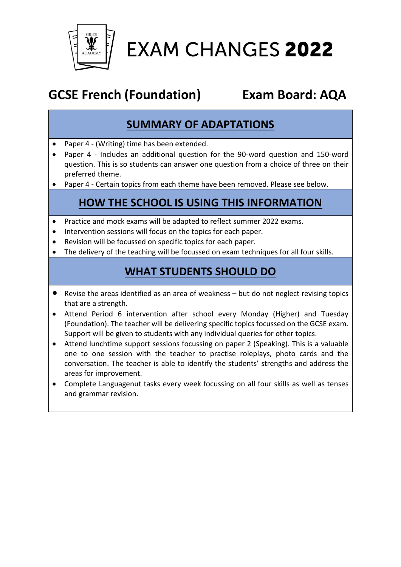

**EXAM CHANGES 2022** 

# **GCSE French (Foundation) Exam Board: AQA**

### **SUMMARY OF ADAPTATIONS**

- Paper 4 (Writing) time has been extended.
- Paper 4 Includes an additional question for the 90-word question and 150-word question. This is so students can answer one question from a choice of three on their preferred theme.
- Paper 4 Certain topics from each theme have been removed. Please see below.

## **HOW THE SCHOOL IS USING THIS INFORMATION**

- Practice and mock exams will be adapted to reflect summer 2022 exams.
- Intervention sessions will focus on the topics for each paper.
- Revision will be focussed on specific topics for each paper.
- The delivery of the teaching will be focussed on exam techniques for all four skills.

#### **WHAT STUDENTS SHOULD DO**

- Revise the areas identified as an area of weakness but do not neglect revising topics that are a strength.
- Attend Period 6 intervention after school every Monday (Higher) and Tuesday (Foundation). The teacher will be delivering specific topics focussed on the GCSE exam. Support will be given to students with any individual queries for other topics.
- Attend lunchtime support sessions focussing on paper 2 (Speaking). This is a valuable one to one session with the teacher to practise roleplays, photo cards and the conversation. The teacher is able to identify the students' strengths and address the areas for improvement.
- Complete Languagenut tasks every week focussing on all four skills as well as tenses and grammar revision.